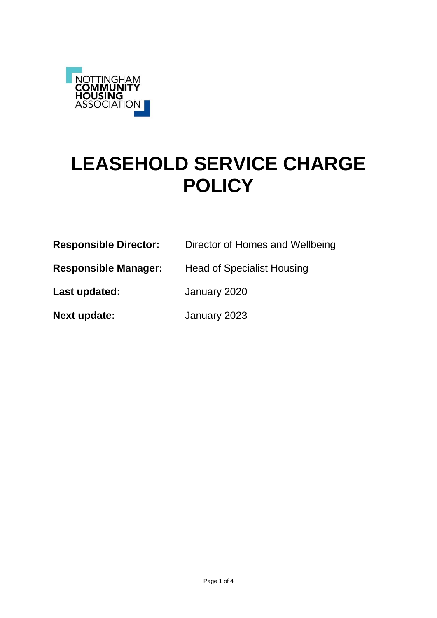

# **LEASEHOLD SERVICE CHARGE POLICY**

| <b>Responsible Director:</b> | Director of Homes and Wellbeing   |
|------------------------------|-----------------------------------|
| <b>Responsible Manager:</b>  | <b>Head of Specialist Housing</b> |
| Last updated:                | January 2020                      |
| Next update:                 | January 2023                      |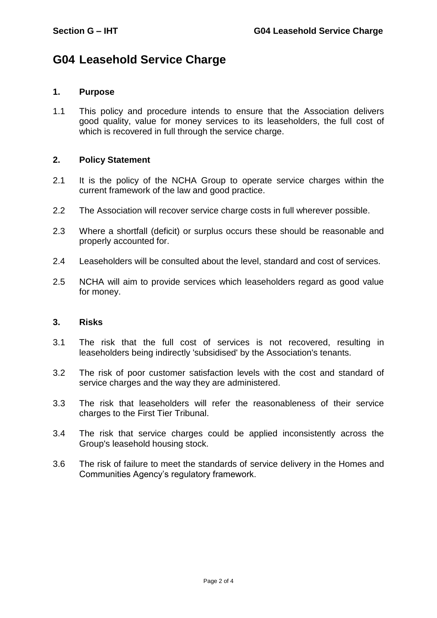## **G04 Leasehold Service Charge**

### **1. Purpose**

1.1 This policy and procedure intends to ensure that the Association delivers good quality, value for money services to its leaseholders, the full cost of which is recovered in full through the service charge.

#### **2. Policy Statement**

- 2.1 It is the policy of the NCHA Group to operate service charges within the current framework of the law and good practice.
- 2.2 The Association will recover service charge costs in full wherever possible.
- 2.3 Where a shortfall (deficit) or surplus occurs these should be reasonable and properly accounted for.
- 2.4 Leaseholders will be consulted about the level, standard and cost of services.
- 2.5 NCHA will aim to provide services which leaseholders regard as good value for money.

#### **3. Risks**

- 3.1 The risk that the full cost of services is not recovered, resulting in leaseholders being indirectly 'subsidised' by the Association's tenants.
- 3.2 The risk of poor customer satisfaction levels with the cost and standard of service charges and the way they are administered.
- 3.3 The risk that leaseholders will refer the reasonableness of their service charges to the First Tier Tribunal.
- 3.4 The risk that service charges could be applied inconsistently across the Group's leasehold housing stock.
- 3.6 The risk of failure to meet the standards of service delivery in the Homes and Communities Agency's regulatory framework.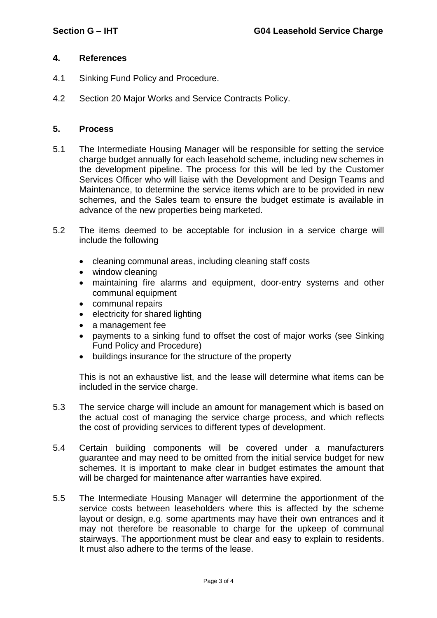### **4. References**

- 4.1 Sinking Fund Policy and Procedure.
- 4.2 Section 20 Major Works and Service Contracts Policy.

#### **5. Process**

- 5.1 The Intermediate Housing Manager will be responsible for setting the service charge budget annually for each leasehold scheme, including new schemes in the development pipeline. The process for this will be led by the Customer Services Officer who will liaise with the Development and Design Teams and Maintenance, to determine the service items which are to be provided in new schemes, and the Sales team to ensure the budget estimate is available in advance of the new properties being marketed.
- 5.2 The items deemed to be acceptable for inclusion in a service charge will include the following
	- cleaning communal areas, including cleaning staff costs
	- window cleaning
	- maintaining fire alarms and equipment, door-entry systems and other communal equipment
	- communal repairs
	- electricity for shared lighting
	- a management fee
	- payments to a sinking fund to offset the cost of major works (see Sinking Fund Policy and Procedure)
	- buildings insurance for the structure of the property

This is not an exhaustive list, and the lease will determine what items can be included in the service charge.

- 5.3 The service charge will include an amount for management which is based on the actual cost of managing the service charge process, and which reflects the cost of providing services to different types of development.
- 5.4 Certain building components will be covered under a manufacturers guarantee and may need to be omitted from the initial service budget for new schemes. It is important to make clear in budget estimates the amount that will be charged for maintenance after warranties have expired.
- 5.5 The Intermediate Housing Manager will determine the apportionment of the service costs between leaseholders where this is affected by the scheme layout or design, e.g. some apartments may have their own entrances and it may not therefore be reasonable to charge for the upkeep of communal stairways. The apportionment must be clear and easy to explain to residents. It must also adhere to the terms of the lease.